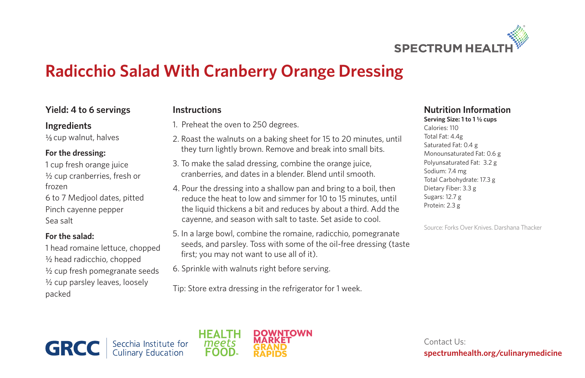

# **Radicchio Salad With Cranberry Orange Dressing**

### **Yield: 4 to 6 servings**

#### **Ingredients**

1/<sub>3</sub> cup walnut, halves

#### **For the dressing:**

1 cup fresh orange juice ½ cup cranberries, fresh or frozen

6 to 7 Medjool dates, pitted Pinch cayenne pepper Sea salt

#### **For the salad:**

1 head romaine lettuce, chopped ½ head radicchio, chopped ½ cup fresh pomegranate seeds ½ cup parsley leaves, loosely packed

# **Instructions**

- 1. Preheat the oven to 250 degrees.
- 2. Roast the walnuts on a baking sheet for 15 to 20 minutes, until they turn lightly brown. Remove and break into small bits.
- 3. To make the salad dressing, combine the orange juice, cranberries, and dates in a blender. Blend until smooth.
- 4. Pour the dressing into a shallow pan and bring to a boil, then reduce the heat to low and simmer for 10 to 15 minutes, until the liquid thickens a bit and reduces by about a third. Add the cayenne, and season with salt to taste. Set aside to cool.
- 5. In a large bowl, combine the romaine, radicchio, pomegranate seeds, and parsley. Toss with some of the oil-free dressing (taste first; you may not want to use all of it).
- 6. Sprinkle with walnuts right before serving.

Tip: Store extra dressing in the refrigerator for 1 week.

## **Nutrition Information**

Serving Size: 1 to 1<sup>1/2</sup> cups Calories: 110 Total Fat: 4.4g Saturated Fat: 0.4 g Monounsaturated Fat: 0.6 g Polyunsaturated Fat: 3.2 g Sodium: 7.4 mg Total Carbohydrate: 17.3 g Dietary Fiber: 3.3 g Sugars: 12.7 g Protein: 2.3 g

Source: Forks Over Knives. Darshana Thacker

**GRCC** Secchia Institute for<br>Culinary Education



Contact Us: **spectrumhealth.org/culinarymedicine**